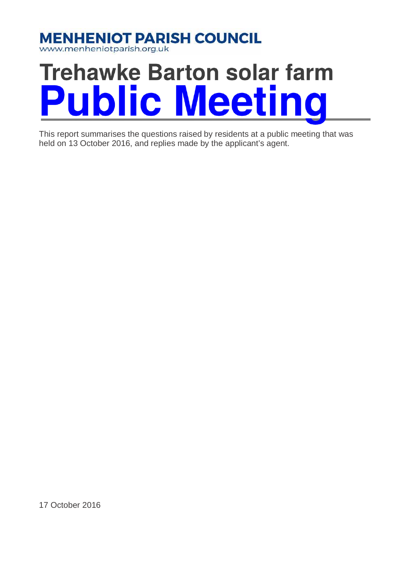

www.menheniotparish.org.uk

# **Trehawke Barton solar farm Public Meetin**  $\overline{0}$

This report summarises the questions raised by residents at a public meeting that was held on 13 October 2016, and replies made by the applicant's agent.

17 October 2016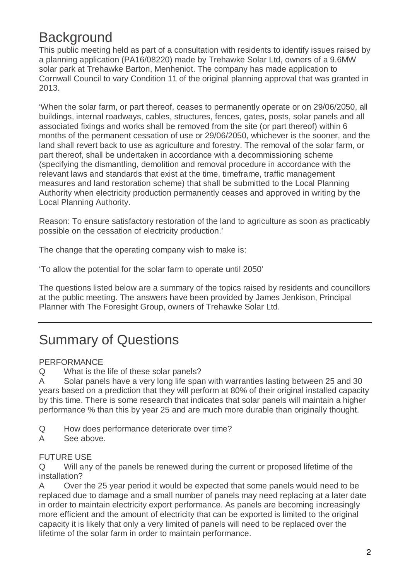## **Background**

This public meeting held as part of a consultation with residents to identify issues raised by a planning application (PA16/08220) made by Trehawke Solar Ltd, owners of a 9.6MW solar park at Trehawke Barton, Menheniot. The company has made application to Cornwall Council to vary Condition 11 of the original planning approval that was granted in 2013.

'When the solar farm, or part thereof, ceases to permanently operate or on 29/06/2050, all buildings, internal roadways, cables, structures, fences, gates, posts, solar panels and all associated fixings and works shall be removed from the site (or part thereof) within 6 months of the permanent cessation of use or 29/06/2050, whichever is the sooner, and the land shall revert back to use as agriculture and forestry. The removal of the solar farm, or part thereof, shall be undertaken in accordance with a decommissioning scheme (specifying the dismantling, demolition and removal procedure in accordance with the relevant laws and standards that exist at the time, timeframe, traffic management measures and land restoration scheme) that shall be submitted to the Local Planning Authority when electricity production permanently ceases and approved in writing by the Local Planning Authority.

Reason: To ensure satisfactory restoration of the land to agriculture as soon as practicably possible on the cessation of electricity production.'

The change that the operating company wish to make is:

'To allow the potential for the solar farm to operate until 2050'

The questions listed below are a summary of the topics raised by residents and councillors at the public meeting. The answers have been provided by James Jenkison, Principal Planner with The Foresight Group, owners of Trehawke Solar Ltd.

### Summary of Questions

#### PERFORMANCE

Q What is the life of these solar panels?

A Solar panels have a very long life span with warranties lasting between 25 and 30 years based on a prediction that they will perform at 80% of their original installed capacity by this time. There is some research that indicates that solar panels will maintain a higher performance % than this by year 25 and are much more durable than originally thought.

- Q How does performance deteriorate over time?
- A See above.

#### FUTURE USE

Q Will any of the panels be renewed during the current or proposed lifetime of the installation?

A Over the 25 year period it would be expected that some panels would need to be replaced due to damage and a small number of panels may need replacing at a later date in order to maintain electricity export performance. As panels are becoming increasingly more efficient and the amount of electricity that can be exported is limited to the original capacity it is likely that only a very limited of panels will need to be replaced over the lifetime of the solar farm in order to maintain performance.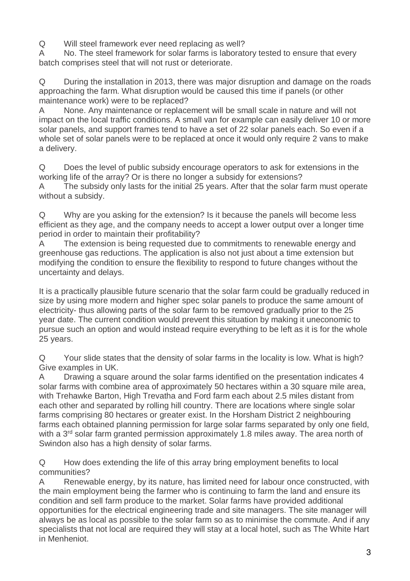Q Will steel framework ever need replacing as well?

A No. The steel framework for solar farms is laboratory tested to ensure that every batch comprises steel that will not rust or deteriorate.

Q During the installation in 2013, there was major disruption and damage on the roads approaching the farm. What disruption would be caused this time if panels (or other maintenance work) were to be replaced?

A None. Any maintenance or replacement will be small scale in nature and will not impact on the local traffic conditions. A small van for example can easily deliver 10 or more solar panels, and support frames tend to have a set of 22 solar panels each. So even if a whole set of solar panels were to be replaced at once it would only require 2 vans to make a delivery.

Q Does the level of public subsidy encourage operators to ask for extensions in the working life of the array? Or is there no longer a subsidy for extensions?

A The subsidy only lasts for the initial 25 years. After that the solar farm must operate without a subsidy.

Q Why are you asking for the extension? Is it because the panels will become less efficient as they age, and the company needs to accept a lower output over a longer time period in order to maintain their profitability?

A The extension is being requested due to commitments to renewable energy and greenhouse gas reductions. The application is also not just about a time extension but modifying the condition to ensure the flexibility to respond to future changes without the uncertainty and delays.

It is a practically plausible future scenario that the solar farm could be gradually reduced in size by using more modern and higher spec solar panels to produce the same amount of electricity- thus allowing parts of the solar farm to be removed gradually prior to the 25 year date. The current condition would prevent this situation by making it uneconomic to pursue such an option and would instead require everything to be left as it is for the whole 25 years.

Q Your slide states that the density of solar farms in the locality is low. What is high? Give examples in UK.

A Drawing a square around the solar farms identified on the presentation indicates 4 solar farms with combine area of approximately 50 hectares within a 30 square mile area, with Trehawke Barton, High Trevatha and Ford farm each about 2.5 miles distant from each other and separated by rolling hill country. There are locations where single solar farms comprising 80 hectares or greater exist. In the Horsham District 2 neighbouring farms each obtained planning permission for large solar farms separated by only one field, with a 3<sup>rd</sup> solar farm granted permission approximately 1.8 miles away. The area north of Swindon also has a high density of solar farms.

Q How does extending the life of this array bring employment benefits to local communities?

A Renewable energy, by its nature, has limited need for labour once constructed, with the main employment being the farmer who is continuing to farm the land and ensure its condition and sell farm produce to the market. Solar farms have provided additional opportunities for the electrical engineering trade and site managers. The site manager will always be as local as possible to the solar farm so as to minimise the commute. And if any specialists that not local are required they will stay at a local hotel, such as The White Hart in Menheniot.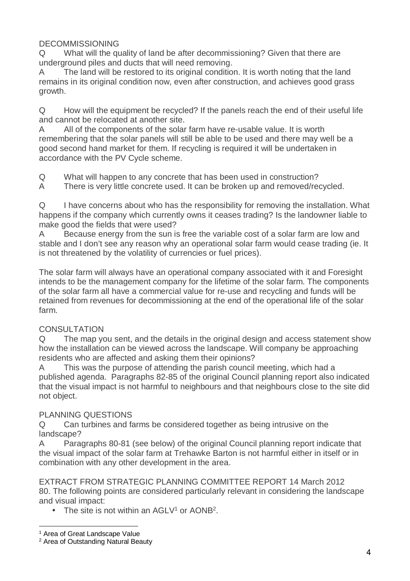#### DECOMMISSIONING

Q What will the quality of land be after decommissioning? Given that there are underground piles and ducts that will need removing.

A The land will be restored to its original condition. It is worth noting that the land remains in its original condition now, even after construction, and achieves good grass growth.

Q How will the equipment be recycled? If the panels reach the end of their useful life and cannot be relocated at another site.

A All of the components of the solar farm have re-usable value. It is worth remembering that the solar panels will still be able to be used and there may well be a good second hand market for them. If recycling is required it will be undertaken in accordance with the PV Cycle scheme.

Q What will happen to any concrete that has been used in construction?

A There is very little concrete used. It can be broken up and removed/recycled.

Q I have concerns about who has the responsibility for removing the installation. What happens if the company which currently owns it ceases trading? Is the landowner liable to make good the fields that were used?

A Because energy from the sun is free the variable cost of a solar farm are low and stable and I don't see any reason why an operational solar farm would cease trading (ie. It is not threatened by the volatility of currencies or fuel prices).

The solar farm will always have an operational company associated with it and Foresight intends to be the management company for the lifetime of the solar farm. The components of the solar farm all have a commercial value for re-use and recycling and funds will be retained from revenues for decommissioning at the end of the operational life of the solar farm.

#### CONSULTATION

Q The map you sent, and the details in the original design and access statement show how the installation can be viewed across the landscape. Will company be approaching residents who are affected and asking them their opinions?

A This was the purpose of attending the parish council meeting, which had a published agenda. Paragraphs 82-85 of the original Council planning report also indicated that the visual impact is not harmful to neighbours and that neighbours close to the site did not object.

#### PLANNING QUESTIONS

Q Can turbines and farms be considered together as being intrusive on the landscape?

A Paragraphs 80-81 (see below) of the original Council planning report indicate that the visual impact of the solar farm at Trehawke Barton is not harmful either in itself or in combination with any other development in the area.

EXTRACT FROM STRATEGIC PLANNING COMMITTEE REPORT 14 March 2012 80. The following points are considered particularly relevant in considering the landscape and visual impact:

• The site is not within an  $AGLV<sup>1</sup>$  or  $AONB<sup>2</sup>$ .

 1 Area of Great Landscape Value

<sup>&</sup>lt;sup>2</sup> Area of Outstanding Natural Beauty